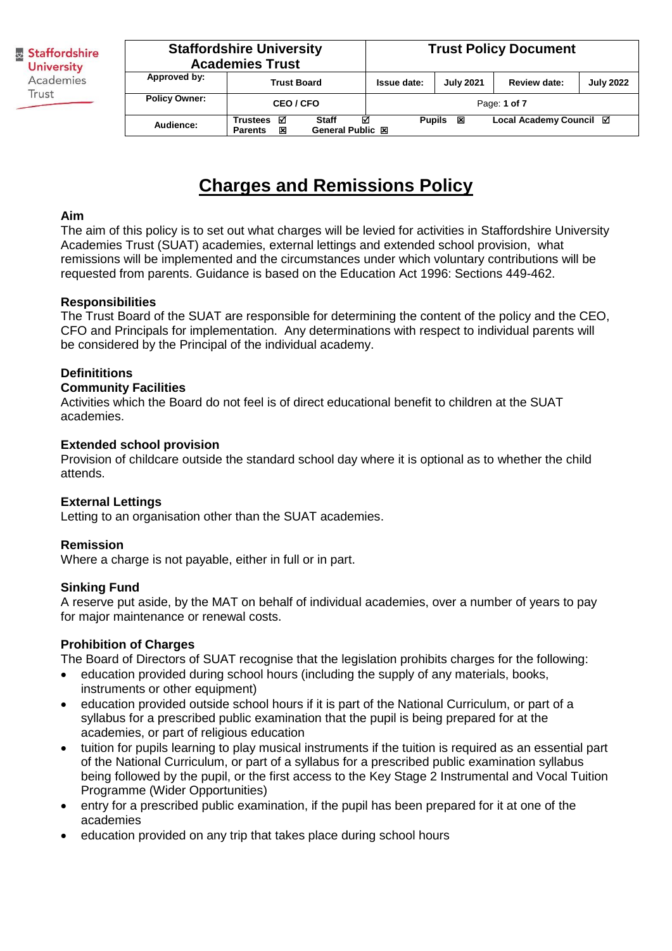| <b>Staffordshire University</b><br><b>Academies Trust</b> |                                                                                 | <b>Trust Policy Document</b> |                  |                         |                  |
|-----------------------------------------------------------|---------------------------------------------------------------------------------|------------------------------|------------------|-------------------------|------------------|
| Approved by:                                              | <b>Trust Board</b>                                                              | Issue date:                  | <b>July 2021</b> | Review date:            | <b>July 2022</b> |
| <b>Policy Owner:</b>                                      | CEO / CFO                                                                       |                              |                  | Page: 1 of 7            |                  |
| Audience:                                                 | <b>Staff</b><br>⊠<br><b>Trustees</b><br>図<br>General Public 図<br><b>Parents</b> | ⊠<br><b>Pupils</b>           | ×                | Local Academy Council Ø |                  |

# **Charges and Remissions Policy**

## **Aim**

The aim of this policy is to set out what charges will be levied for activities in Staffordshire University Academies Trust (SUAT) academies, external lettings and extended school provision, what remissions will be implemented and the circumstances under which voluntary contributions will be requested from parents. Guidance is based on the Education Act 1996: Sections 449-462.

### **Responsibilities**

The Trust Board of the SUAT are responsible for determining the content of the policy and the CEO, CFO and Principals for implementation. Any determinations with respect to individual parents will be considered by the Principal of the individual academy.

### **Definititions**

### **Community Facilities**

Activities which the Board do not feel is of direct educational benefit to children at the SUAT academies.

#### **Extended school provision**

Provision of childcare outside the standard school day where it is optional as to whether the child attends.

### **External Lettings**

Letting to an organisation other than the SUAT academies.

### **Remission**

Where a charge is not payable, either in full or in part.

#### **Sinking Fund**

A reserve put aside, by the MAT on behalf of individual academies, over a number of years to pay for major maintenance or renewal costs.

### **Prohibition of Charges**

The Board of Directors of SUAT recognise that the legislation prohibits charges for the following:

- education provided during school hours (including the supply of any materials, books, instruments or other equipment)
- education provided outside school hours if it is part of the National Curriculum, or part of a syllabus for a prescribed public examination that the pupil is being prepared for at the academies, or part of religious education
- tuition for pupils learning to play musical instruments if the tuition is required as an essential part of the National Curriculum, or part of a syllabus for a prescribed public examination syllabus being followed by the pupil, or the first access to the Key Stage 2 Instrumental and Vocal Tuition Programme (Wider Opportunities)
- entry for a prescribed public examination, if the pupil has been prepared for it at one of the academies
- education provided on any trip that takes place during school hours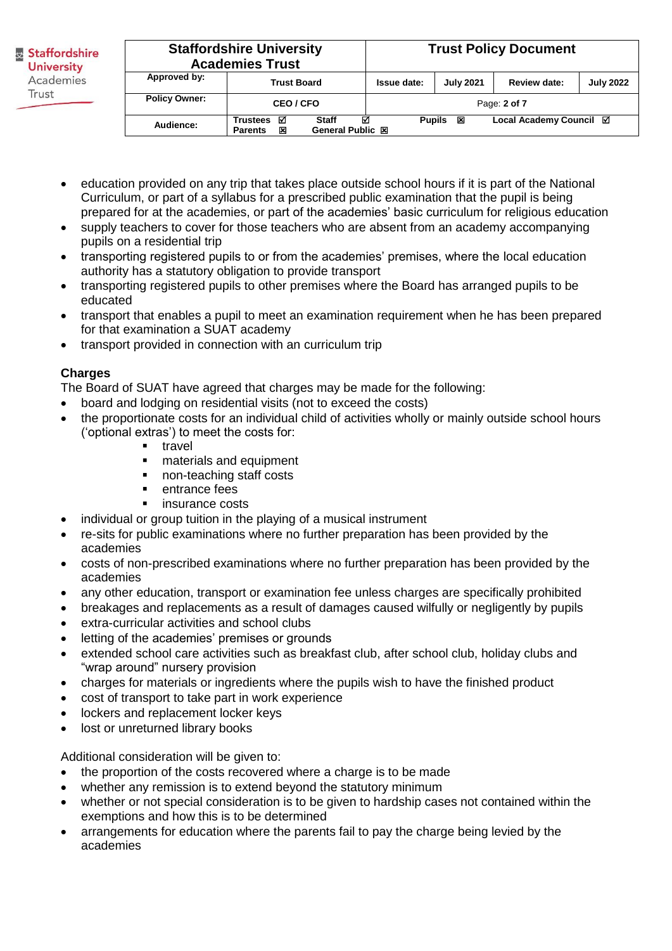| <b>Staffordshire</b><br><b>University</b><br>Academies<br>Trust |                      | <b>Staffordshire University</b><br><b>Academies Trust</b> |                                  | <b>Trust Policy Document</b> |                    |                         |                  |
|-----------------------------------------------------------------|----------------------|-----------------------------------------------------------|----------------------------------|------------------------------|--------------------|-------------------------|------------------|
|                                                                 | Approved by:         | <b>Trust Board</b>                                        |                                  | <b>Issue date:</b>           | <b>July 2021</b>   | <b>Review date:</b>     | <b>July 2022</b> |
|                                                                 | <b>Policy Owner:</b> | CEO / CFO                                                 |                                  | Page: 2 of 7                 |                    |                         |                  |
|                                                                 | Audience:            | <b>Trustees</b><br>ष<br>図<br><b>Parents</b>               | <b>Staff</b><br>General Public 図 | ⊠                            | <b>Pupils</b><br>⊠ | Local Academy Council ⊠ |                  |

- education provided on any trip that takes place outside school hours if it is part of the National Curriculum, or part of a syllabus for a prescribed public examination that the pupil is being prepared for at the academies, or part of the academies' basic curriculum for religious education
- supply teachers to cover for those teachers who are absent from an academy accompanying pupils on a residential trip
- transporting registered pupils to or from the academies' premises, where the local education authority has a statutory obligation to provide transport
- transporting registered pupils to other premises where the Board has arranged pupils to be educated
- transport that enables a pupil to meet an examination requirement when he has been prepared for that examination a SUAT academy
- transport provided in connection with an curriculum trip

## **Charges**

The Board of SUAT have agreed that charges may be made for the following:

- board and lodging on residential visits (not to exceed the costs)
- the proportionate costs for an individual child of activities wholly or mainly outside school hours ('optional extras') to meet the costs for:
	- $\blacksquare$  travel
	- **naterials and equipment**
	- non-teaching staff costs
	- entrance fees
	- insurance costs
- individual or group tuition in the playing of a musical instrument
- re-sits for public examinations where no further preparation has been provided by the academies
- costs of non-prescribed examinations where no further preparation has been provided by the academies
- any other education, transport or examination fee unless charges are specifically prohibited
- breakages and replacements as a result of damages caused wilfully or negligently by pupils
- extra-curricular activities and school clubs
- letting of the academies' premises or grounds
- extended school care activities such as breakfast club, after school club, holiday clubs and "wrap around" nursery provision
- charges for materials or ingredients where the pupils wish to have the finished product
- cost of transport to take part in work experience
- lockers and replacement locker keys
- lost or unreturned library books

Additional consideration will be given to:

- the proportion of the costs recovered where a charge is to be made
- whether any remission is to extend beyond the statutory minimum
- whether or not special consideration is to be given to hardship cases not contained within the exemptions and how this is to be determined
- arrangements for education where the parents fail to pay the charge being levied by the academies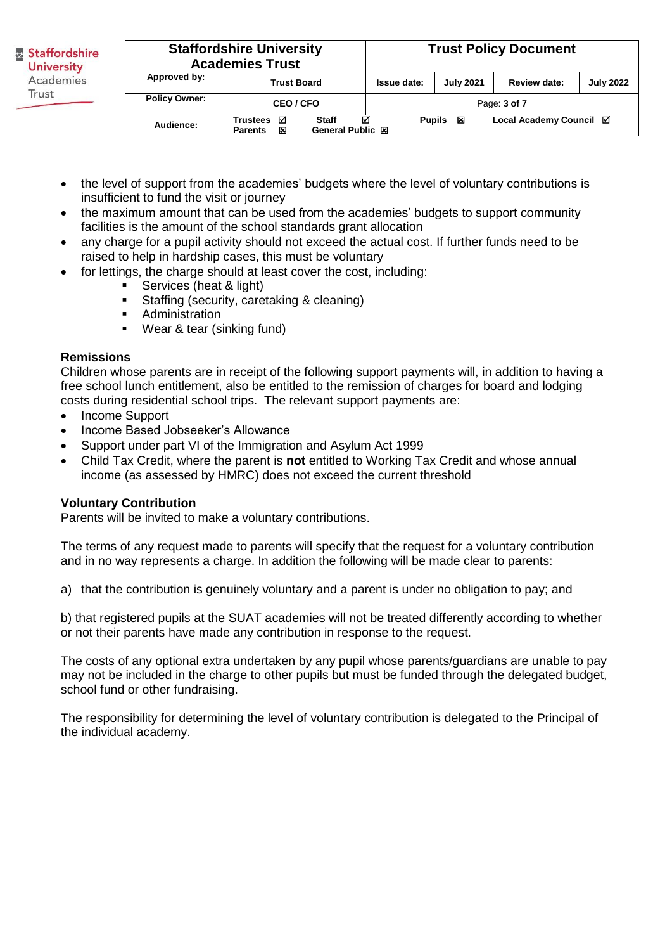|                      | <b>Staffordshire University</b><br><b>Academies Trust</b> | <b>Trust Policy Document</b>          |                    |                  |                         |                  |
|----------------------|-----------------------------------------------------------|---------------------------------------|--------------------|------------------|-------------------------|------------------|
| Approved by:         | <b>Trust Board</b>                                        |                                       | <b>Issue date:</b> | <b>July 2021</b> | Review date:            | <b>July 2022</b> |
| <b>Policy Owner:</b> | CEO / CFO                                                 |                                       |                    |                  | Page: 3 of 7            |                  |
| Audience:            | <b>Trustees</b><br>☑<br>図<br><b>Parents</b>               | ⊠<br><b>Staff</b><br>General Public 図 | <b>Pupils</b>      | ×                | Local Academy Council Ø |                  |

- the level of support from the academies' budgets where the level of voluntary contributions is insufficient to fund the visit or journey
- the maximum amount that can be used from the academies' budgets to support community facilities is the amount of the school standards grant allocation
- any charge for a pupil activity should not exceed the actual cost. If further funds need to be raised to help in hardship cases, this must be voluntary
- for lettings, the charge should at least cover the cost, including:
	- Services (heat & light)
	- Staffing (security, caretaking & cleaning)
	- **-** Administration
	- Wear & tear (sinking fund)

## **Remissions**

Children whose parents are in receipt of the following support payments will, in addition to having a free school lunch entitlement, also be entitled to the remission of charges for board and lodging costs during residential school trips. The relevant support payments are:

- Income Support
- Income Based Jobseeker's Allowance
- Support under part VI of the Immigration and Asylum Act 1999
- Child Tax Credit, where the parent is **not** entitled to Working Tax Credit and whose annual income (as assessed by HMRC) does not exceed the current threshold

### **Voluntary Contribution**

Parents will be invited to make a voluntary contributions.

The terms of any request made to parents will specify that the request for a voluntary contribution and in no way represents a charge. In addition the following will be made clear to parents:

a) that the contribution is genuinely voluntary and a parent is under no obligation to pay; and

b) that registered pupils at the SUAT academies will not be treated differently according to whether or not their parents have made any contribution in response to the request.

The costs of any optional extra undertaken by any pupil whose parents/guardians are unable to pay may not be included in the charge to other pupils but must be funded through the delegated budget, school fund or other fundraising.

The responsibility for determining the level of voluntary contribution is delegated to the Principal of the individual academy.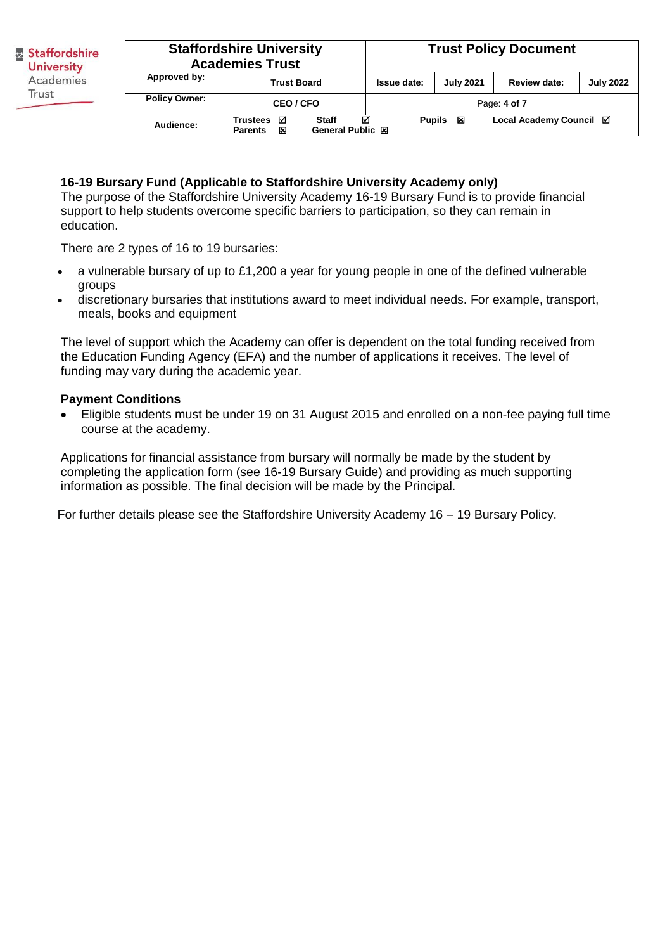| <b>Staffordshire University</b><br><b>Academies Trust</b> |                                                                                 |   |               |                  | <b>Trust Policy Document</b> |                  |
|-----------------------------------------------------------|---------------------------------------------------------------------------------|---|---------------|------------------|------------------------------|------------------|
| Approved by:                                              | <b>Trust Board</b>                                                              |   | Issue date:   | <b>July 2021</b> | Review date:                 | <b>July 2022</b> |
| <b>Policy Owner:</b>                                      | CEO / CFO                                                                       |   |               | Page: 4 of 7     |                              |                  |
| Audience:                                                 | ☑<br><b>Trustees</b><br><b>Staff</b><br>General Public 図<br>図<br><b>Parents</b> | ⊠ | <b>Pupils</b> | ⊠                | Local Academy Council Ø      |                  |

#### **16-19 Bursary Fund (Applicable to Staffordshire University Academy only)**

The purpose of the Staffordshire University Academy 16-19 Bursary Fund is to provide financial support to help students overcome specific barriers to participation, so they can remain in education.

There are 2 types of 16 to 19 bursaries:

- a vulnerable bursary of up to £1,200 a year for young people in one of the defined vulnerable groups
- discretionary bursaries that institutions award to meet individual needs. For example, transport, meals, books and equipment

The level of support which the Academy can offer is dependent on the total funding received from the Education Funding Agency (EFA) and the number of applications it receives. The level of funding may vary during the academic year.

#### **Payment Conditions**

 Eligible students must be under 19 on 31 August 2015 and enrolled on a non-fee paying full time course at the academy.

Applications for financial assistance from bursary will normally be made by the student by completing the application form (see 16-19 Bursary Guide) and providing as much supporting information as possible. The final decision will be made by the Principal.

For further details please see the Staffordshire University Academy 16 – 19 Bursary Policy.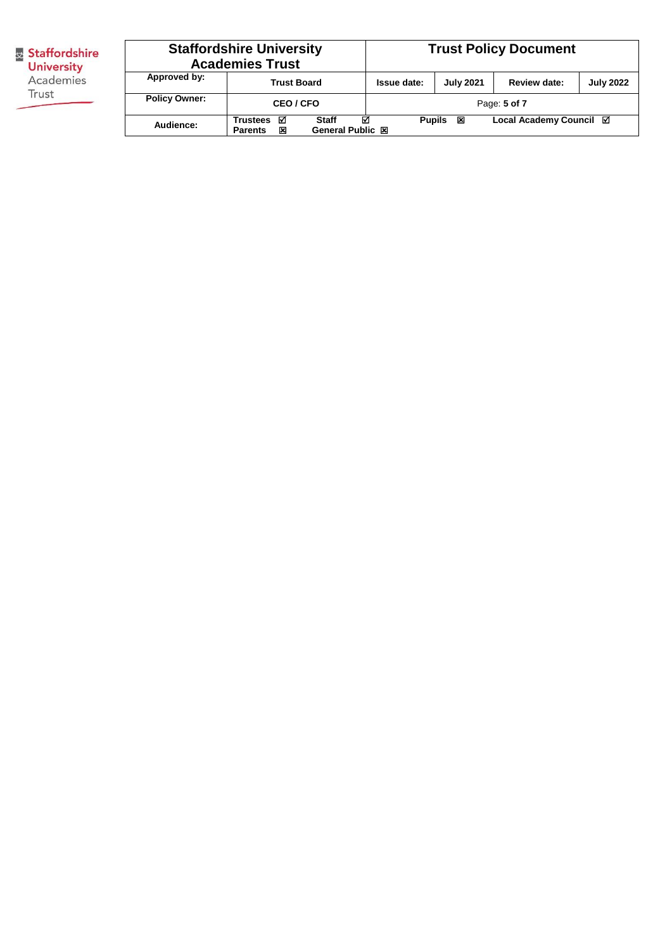| Staffordshire<br><b>University</b><br>Academies<br>Trust | <b>Staffordshire University</b><br><b>Academies Trust</b> | <b>Trust Policy Document</b>                |                                  |                    |                    |                         |                  |
|----------------------------------------------------------|-----------------------------------------------------------|---------------------------------------------|----------------------------------|--------------------|--------------------|-------------------------|------------------|
|                                                          | Approved by:                                              | <b>Trust Board</b>                          |                                  | <b>Issue date:</b> | <b>July 2021</b>   | <b>Review date:</b>     | <b>July 2022</b> |
|                                                          | <b>Policy Owner:</b>                                      | CEO / CFO                                   |                                  | Page: 5 of 7       |                    |                         |                  |
|                                                          | Audience:                                                 | <b>Trustees</b><br>☑<br>図<br><b>Parents</b> | <b>Staff</b><br>General Public 図 | ☑                  | <b>Pupils</b><br>区 | Local Academy Council ⊠ |                  |